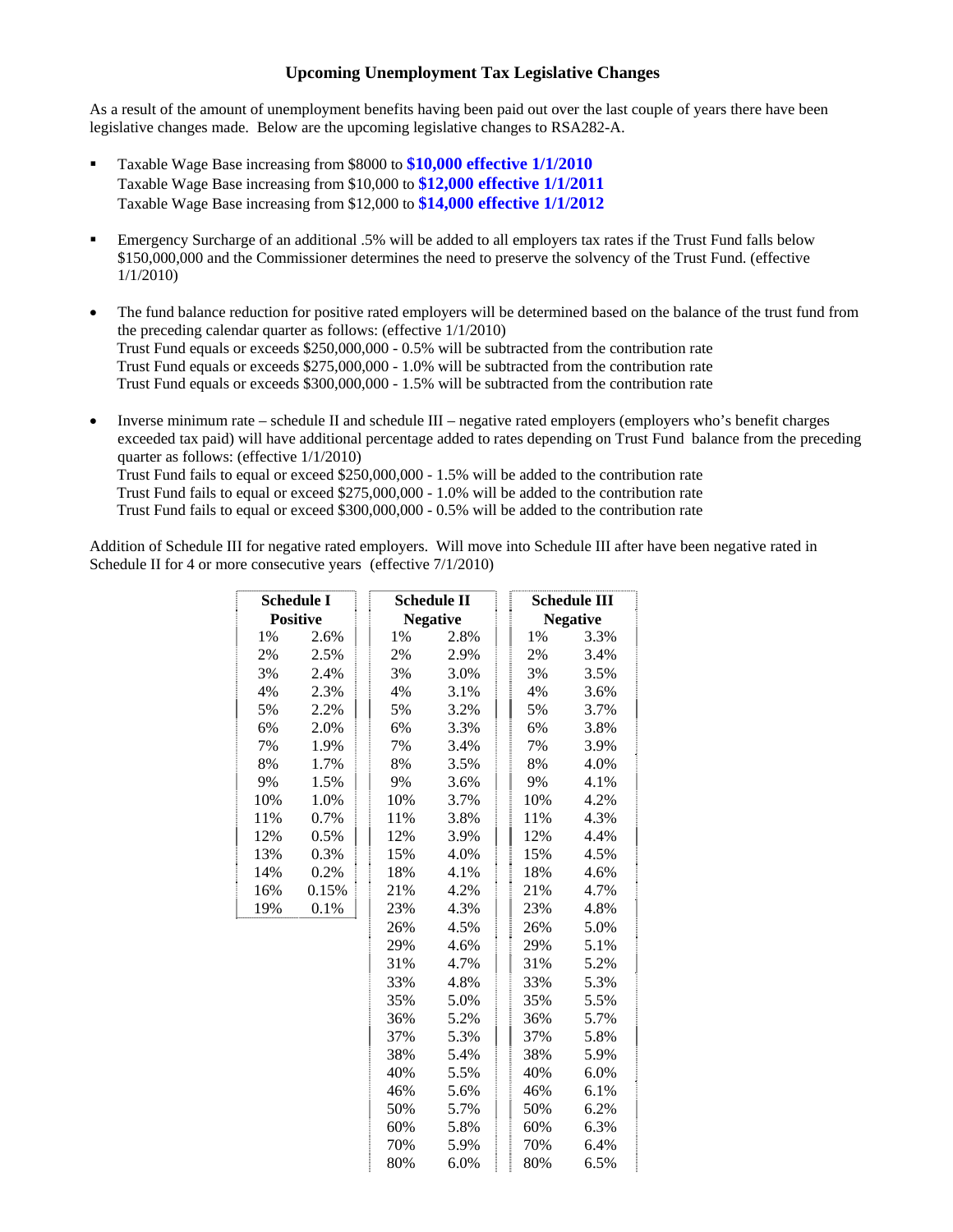## **Upcoming Unemployment Tax Legislative Changes**

As a result of the amount of unemployment benefits having been paid out over the last couple of years there have been legislative changes made. Below are the upcoming legislative changes to RSA282-A.

- Taxable Wage Base increasing from \$8000 to **\$10,000 effective 1/1/2010** Taxable Wage Base increasing from \$10,000 to **\$12,000 effective 1/1/2011** Taxable Wage Base increasing from \$12,000 to **\$14,000 effective 1/1/2012**
- Emergency Surcharge of an additional .5% will be added to all employers tax rates if the Trust Fund falls below \$150,000,000 and the Commissioner determines the need to preserve the solvency of the Trust Fund. (effective 1/1/2010)
- The fund balance reduction for positive rated employers will be determined based on the balance of the trust fund from the preceding calendar quarter as follows: (effective 1/1/2010) Trust Fund equals or exceeds \$250,000,000 - 0.5% will be subtracted from the contribution rate Trust Fund equals or exceeds \$275,000,000 - 1.0% will be subtracted from the contribution rate Trust Fund equals or exceeds \$300,000,000 - 1.5% will be subtracted from the contribution rate
- Inverse minimum rate schedule II and schedule III negative rated employers (employers who's benefit charges exceeded tax paid) will have additional percentage added to rates depending on Trust Fund balance from the preceding quarter as follows: (effective 1/1/2010)

 Trust Fund fails to equal or exceed \$250,000,000 - 1.5% will be added to the contribution rate Trust Fund fails to equal or exceed \$275,000,000 - 1.0% will be added to the contribution rate Trust Fund fails to equal or exceed \$300,000,000 - 0.5% will be added to the contribution rate

Addition of Schedule III for negative rated employers. Will move into Schedule III after have been negative rated in Schedule II for 4 or more consecutive years (effective 7/1/2010)

| <b>Schedule I</b> |       |     | <b>Schedule II</b> |  | Schedule III    |      |
|-------------------|-------|-----|--------------------|--|-----------------|------|
| <b>Positive</b>   |       |     | <b>Negative</b>    |  | <b>Negative</b> |      |
| 1%                | 2.6%  | 1%  | 2.8%               |  | 1%              | 3.3% |
| 2%                | 2.5%  | 2%  | 2.9%               |  | 2%              | 3.4% |
| 3%                | 2.4%  | 3%  | 3.0%               |  | 3%              | 3.5% |
| 4%                | 2.3%  | 4%  | 3.1%               |  | 4%              | 3.6% |
| 5%                | 2.2%  | 5%  | 3.2%               |  | 5%              | 3.7% |
| 6%                | 2.0%  | 6%  | 3.3%               |  | 6%              | 3.8% |
| 7%                | 1.9%  | 7%  | 3.4%               |  | 7%              | 3.9% |
| 8%                | 1.7%  | 8%  | 3.5%               |  | 8%              | 4.0% |
| 9%                | 1.5%  | 9%  | 3.6%               |  | 9%              | 4.1% |
| 10%               | 1.0%  | 10% | 3.7%               |  | 10%             | 4.2% |
| 11%               | 0.7%  | 11% | 3.8%               |  | 11%             | 4.3% |
| 12%               | 0.5%  | 12% | 3.9%               |  | 12%             | 4.4% |
| 13%               | 0.3%  | 15% | 4.0%               |  | 15%             | 4.5% |
| 14%               | 0.2%  | 18% | 4.1%               |  | 18%             | 4.6% |
| 16%               | 0.15% | 21% | 4.2%               |  | 21%             | 4.7% |
| 19%               | 0.1%  | 23% | 4.3%               |  | 23%             | 4.8% |
|                   |       | 26% | 4.5%               |  | 26%             | 5.0% |
|                   |       | 29% | 4.6%               |  | 29%             | 5.1% |
|                   |       | 31% | 4.7%               |  | 31%             | 5.2% |
|                   |       | 33% | 4.8%               |  | 33%             | 5.3% |
|                   |       | 35% | 5.0%               |  | 35%             | 5.5% |
|                   |       | 36% | 5.2%               |  | 36%             | 5.7% |
|                   |       | 37% | 5.3%               |  | 37%             | 5.8% |
|                   |       | 38% | 5.4%               |  | 38%             | 5.9% |
|                   |       | 40% | 5.5%               |  | 40%             | 6.0% |
|                   |       | 46% | 5.6%               |  | 46%             | 6.1% |
|                   |       | 50% | 5.7%               |  | 50%             | 6.2% |
|                   |       | 60% | 5.8%               |  | 60%             | 6.3% |
|                   |       | 70% | 5.9%               |  | 70%             | 6.4% |
|                   |       | 80% | 6.0%               |  | 80%             | 6.5% |